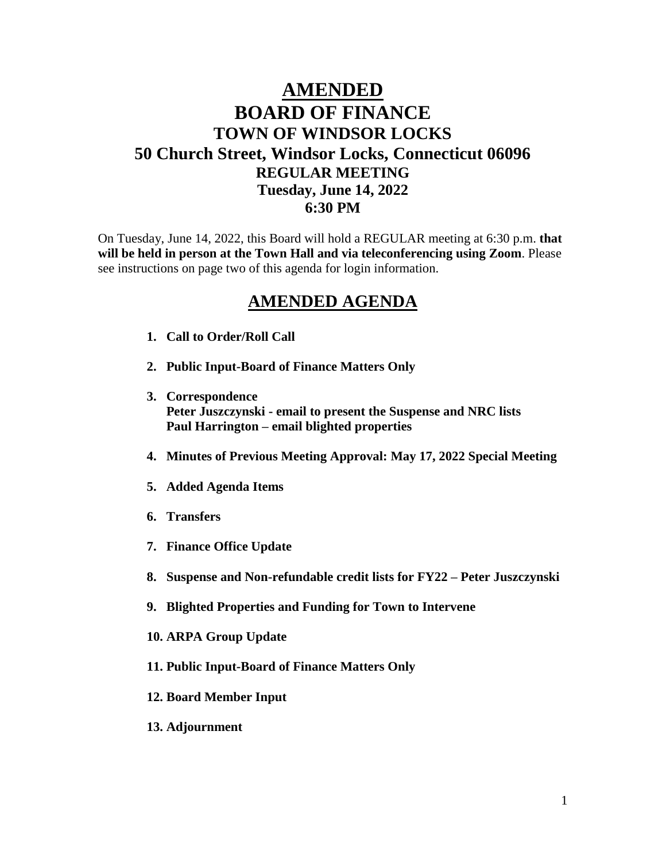## **AMENDED BOARD OF FINANCE TOWN OF WINDSOR LOCKS 50 Church Street, Windsor Locks, Connecticut 06096 REGULAR MEETING Tuesday, June 14, 2022 6:30 PM**

On Tuesday, June 14, 2022, this Board will hold a REGULAR meeting at 6:30 p.m. **that will be held in person at the Town Hall and via teleconferencing using Zoom**. Please see instructions on page two of this agenda for login information.

## **AMENDED AGENDA**

- **1. Call to Order/Roll Call**
- **2. Public Input-Board of Finance Matters Only**
- **3. Correspondence Peter Juszczynski - email to present the Suspense and NRC lists Paul Harrington – email blighted properties**
- **4. Minutes of Previous Meeting Approval: May 17, 2022 Special Meeting**
- **5. Added Agenda Items**
- **6. Transfers**
- **7. Finance Office Update**
- **8. Suspense and Non-refundable credit lists for FY22 – Peter Juszczynski**
- **9. Blighted Properties and Funding for Town to Intervene**
- **10. ARPA Group Update**
- **11. Public Input-Board of Finance Matters Only**
- **12. Board Member Input**
- **13. Adjournment**